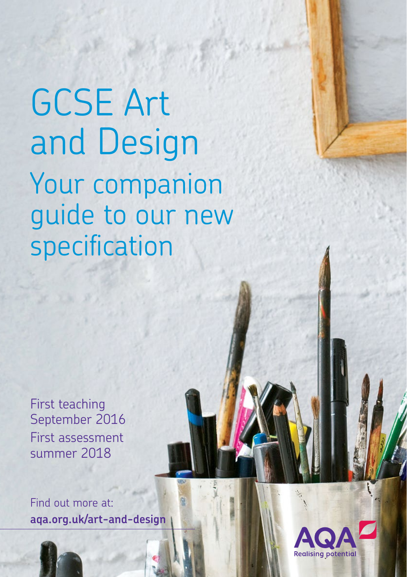GCSE Art and Design Your companion guide to our new specification

First teaching September 2016 First assessment summer 2018

Find out more at: **<aqa.org.uk/art-and-design>**

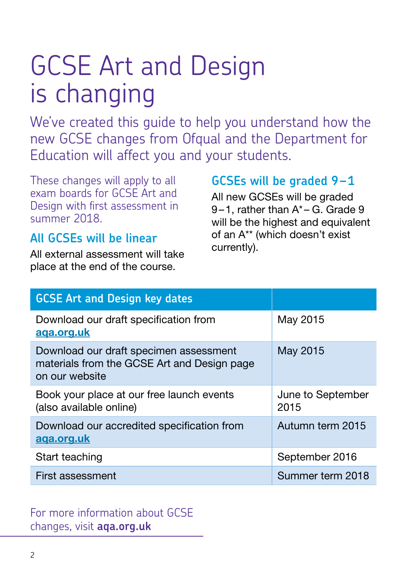# GCSE Art and Design is changing

We've created this guide to help you understand how the new GCSE changes from Ofqual and the Department for Education will affect you and your students.

These changes will apply to all exam boards for GCSE Art and Design with first assessment in summer 2018.

#### **All GCSEs will be linear**

All external assessment will take place at the end of the course.

#### **GCSEs will be graded 9–1**

All new GCSEs will be graded 9–1, rather than A\* – G. Grade 9 will be the highest and equivalent of an A\*\* (which doesn't exist currently).

| <b>GCSE Art and Design key dates</b>                                                                    |                           |
|---------------------------------------------------------------------------------------------------------|---------------------------|
| Download our draft specification from<br>aga.org.uk                                                     | May 2015                  |
| Download our draft specimen assessment<br>materials from the GCSE Art and Design page<br>on our website | May 2015                  |
| Book your place at our free launch events<br>(also available online)                                    | June to September<br>2015 |
| Download our accredited specification from<br><u>aga.org.uk</u>                                         | Autumn term 2015          |
| Start teaching                                                                                          | September 2016            |
| First assessment                                                                                        | Summer term 2018          |

#### For more information about GCSE changes, visit **<aqa.org.uk>**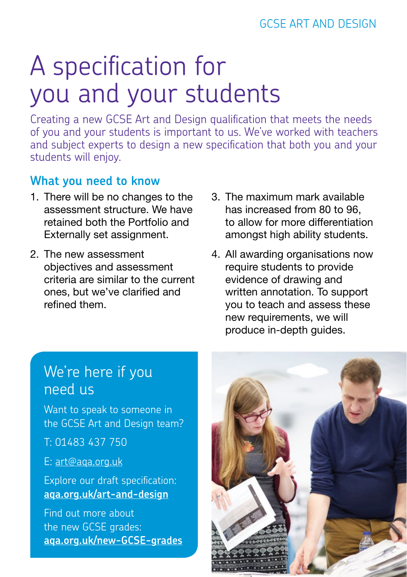# A specification for you and your students

Creating a new GCSE Art and Design qualification that meets the needs of you and your students is important to us. We've worked with teachers and subject experts to design a new specification that both you and your students will enjoy.

#### **What you need to know**

- 1. There will be no changes to the assessment structure. We have retained both the Portfolio and Externally set assignment.
- 2. The new assessment objectives and assessment criteria are similar to the current ones, but we've clarified and refined them.
- 3. The maximum mark available has increased from 80 to 96, to allow for more differentiation amongst high ability students.
- 4. All awarding organisations now require students to provide evidence of drawing and written annotation. To support you to teach and assess these new requirements, we will produce in-depth guides.

### We're here if you need us

Want to speak to someone in the GCSE Art and Design team?

T: 01483 437 750

E: [art@aqa.org.uk](mailto:art%40aqa.org.uk?subject=)

Explore our draft specification: **<aqa.org.uk/art-and-design>**

Find out more about the new GCSE grades: **<aqa.org.uk/new-GCSE-grades>**

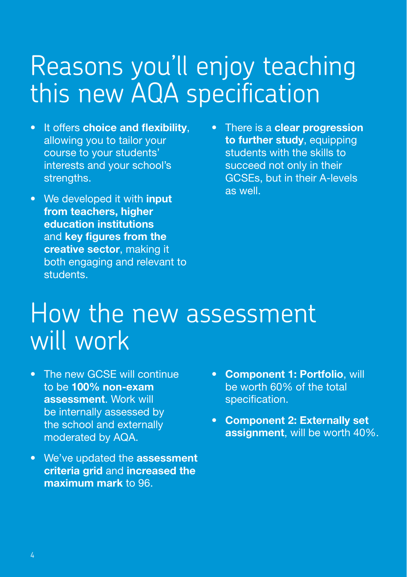### Reasons you'll enjoy teaching this new AQA specification

- It offers choice and flexibility, allowing you to tailor your course to your students' interests and your school's strengths.
- We developed it with input from teachers, higher education institutions and key figures from the creative sector, making it both engaging and relevant to students.
- There is a clear progression to further study, equipping students with the skills to succeed not only in their GCSEs, but in their A-levels as well.

### How the new assessment will work

- The new GCSE will continue to be 100% non-exam assessment. Work will be internally assessed by the school and externally moderated by AQA.
- We've updated the assessment criteria grid and increased the maximum mark to 96.
- Component 1: Portfolio, will be worth 60% of the total specification.
- Component 2: Externally set assignment, will be worth 40%.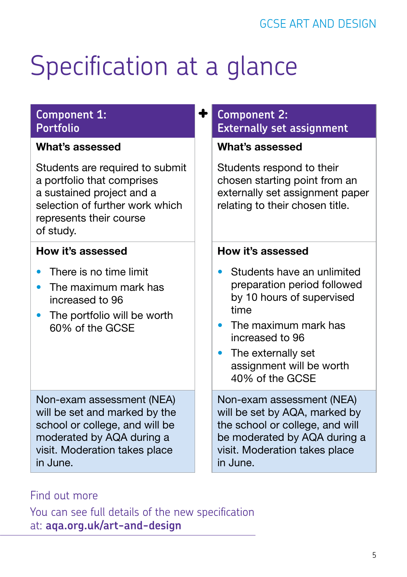# Specification at a glance

#### **Component 1: Portfolio**

#### What's assessed

Students are required to submit a portfolio that comprises a sustained project and a selection of further work which represents their course of study.

#### How it's assessed

- There is no time limit
- The maximum mark has increased to 96
- The portfolio will be worth 60% of the GCSE

Non-exam assessment (NEA) will be set and marked by the school or college, and will be moderated by AQA during a visit. Moderation takes place in June.

#### **Component 2: Externally set assignment**

#### What's assessed

Students respond to their chosen starting point from an externally set assignment paper relating to their chosen title.

#### How it's assessed

- Students have an unlimited preparation period followed by 10 hours of supervised time
- The maximum mark has increased to 96
- The externally set assignment will be worth 40% of the GCSE

Non-exam assessment (NEA) will be set by AQA, marked by the school or college, and will be moderated by AQA during a visit. Moderation takes place in June.

#### Find out more

You can see full details of the new specification at:**<aqa.org.uk/art-and-design>**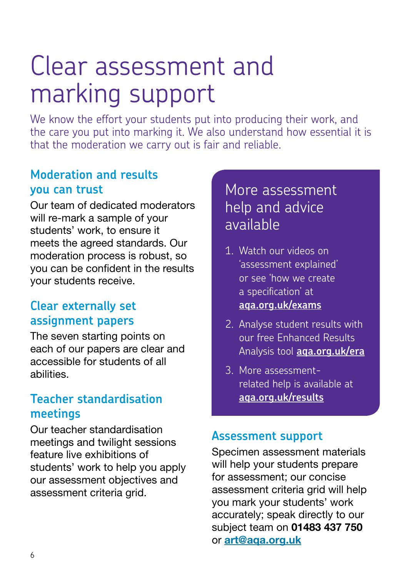## Clear assessment and marking support

We know the effort your students put into producing their work, and the care you put into marking it. We also understand how essential it is that the moderation we carry out is fair and reliable.

#### **Moderation and results you can trust**

Our team of dedicated moderators will re-mark a sample of your students' work, to ensure it meets the agreed standards. Our moderation process is robust, so you can be confident in the results your students receive.

#### **Clear externally set assignment papers**

The seven starting points on each of our papers are clear and accessible for students of all abilities.

#### **Teacher standardisation meetings**

Our teacher standardisation meetings and twilight sessions feature live exhibitions of students' work to help you apply our assessment objectives and assessment criteria grid.

### More assessment help and advice available

- 1. Watch our videos on 'assessment explained' or see 'how we create a specification' at **<aqa.org.uk/exams>**
- 2. Analyse student results with our free Enhanced Results Analysis tool **<aqa.org.uk/era>**
- 3. More assessmentrelated help is available at **<aqa.org.uk/results>**

#### **Assessment support**

Specimen assessment materials will help your students prepare for assessment; our concise assessment criteria grid will help you mark your students' work accurately; speak directly to our subject team on 01483 437 750 or [art@aqa.org.uk](mailto:art%40aqa.org.uk?subject=)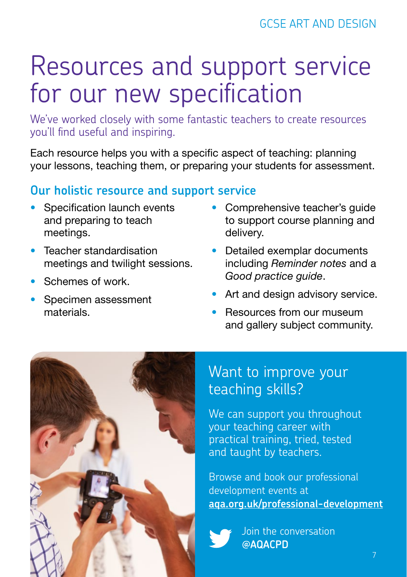## Resources and support service for our new specification

We've worked closely with some fantastic teachers to create resources you'll find useful and inspiring.

Each resource helps you with a specific aspect of teaching: planning your lessons, teaching them, or preparing your students for assessment.

#### **Our holistic resource and support service**

- Specification launch events and preparing to teach meetings.
- Teacher standardisation meetings and twilight sessions.
- Schemes of work.
- Specimen assessment materials.
- Comprehensive teacher's guide to support course planning and delivery.
- Detailed exemplar documents including *Reminder notes* and a *Good practice guide*.
- Art and design advisory service.
- Resources from our museum and gallery subject community.



### Want to improve your teaching skills?

We can support you throughout your teaching career with practical training, tried, tested and taught by teachers.

Browse and book our professional development events at **<aqa.org.uk/professional-development>**